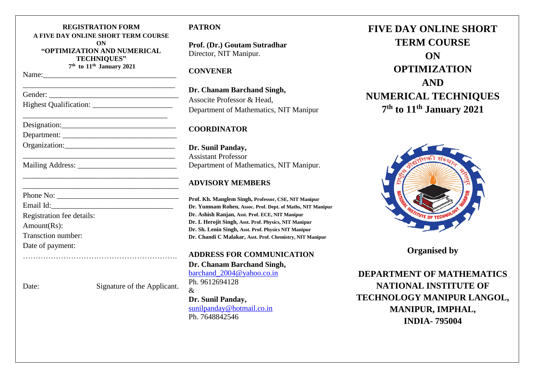| <b>REGISTRATION FORM</b><br>A FIVE DAY ONLINE SHORT TERM COURSE<br>ON<br>"OPTIMIZATION AND NUMERICAL<br><b>TECHNIQUES"</b><br>7 <sup>th</sup> to 11 <sup>th</sup> January 2021 |                             |
|--------------------------------------------------------------------------------------------------------------------------------------------------------------------------------|-----------------------------|
|                                                                                                                                                                                |                             |
|                                                                                                                                                                                |                             |
|                                                                                                                                                                                |                             |
|                                                                                                                                                                                |                             |
|                                                                                                                                                                                |                             |
|                                                                                                                                                                                |                             |
|                                                                                                                                                                                |                             |
|                                                                                                                                                                                |                             |
|                                                                                                                                                                                |                             |
|                                                                                                                                                                                |                             |
| Registration fee details:                                                                                                                                                      |                             |
| Amount(Rs):                                                                                                                                                                    |                             |
| Transction number:                                                                                                                                                             |                             |
| Date of payment:                                                                                                                                                               |                             |
|                                                                                                                                                                                |                             |
| Date:                                                                                                                                                                          | Signature of the Applicant. |

## **PATRON**

**Prof. (Dr.) Goutam Sutradhar** Director, NIT Manipur.

## **CONVENER**

**Dr. Chanam Barchand Singh,** Associte Professor & Head, Department of Mathematics, NIT Manipur

# **COORDINATOR**

**Dr. Sunil Panday,** Assistant Professor Department of Mathematics, NIT Manipur.

# **ADVISORY MEMBERS**

**Prof. Kh. Manglem Singh, Professor, CSE, NIT Manipur Dr. Yumnam Rohen, Assoc. Prof. Dept. of Maths, NIT Manipur Dr. Ashish Ranjan, Asst. Prof. ECE, NIT Manipur Dr. L Herojit Singh, Asst. Prof. Physics, NIT Manipur Dr. Sh. Lenin Singh, Asst. Prof. Physics NIT Manipur Dr. Chandi C Malakar, Asst. Prof. Chemistry, NIT Manipur**

**ADDRESS FOR COMMUNICATION Dr. Chanam Barchand Singh,** barchand  $2004@$  vahoo.co.in Ph. 9612694128 &

**Dr. Sunil Panday,** [sunilpanday@hotmail.co.in](mailto:sunilpanday@hotmail.co.in) Ph. 7648842546

**FIVE DAY ONLINE SHORT TERM COURSE ON OPTIMIZATION AND NUMERICAL TECHNIQUES 7 th to 11th January 2021**



**Organised by** 

**DEPARTMENT OF MATHEMATICS NATIONAL INSTITUTE OF TECHNOLOGY MANIPUR LANGOL, MANIPUR, IMPHAL, INDIA- 795004**